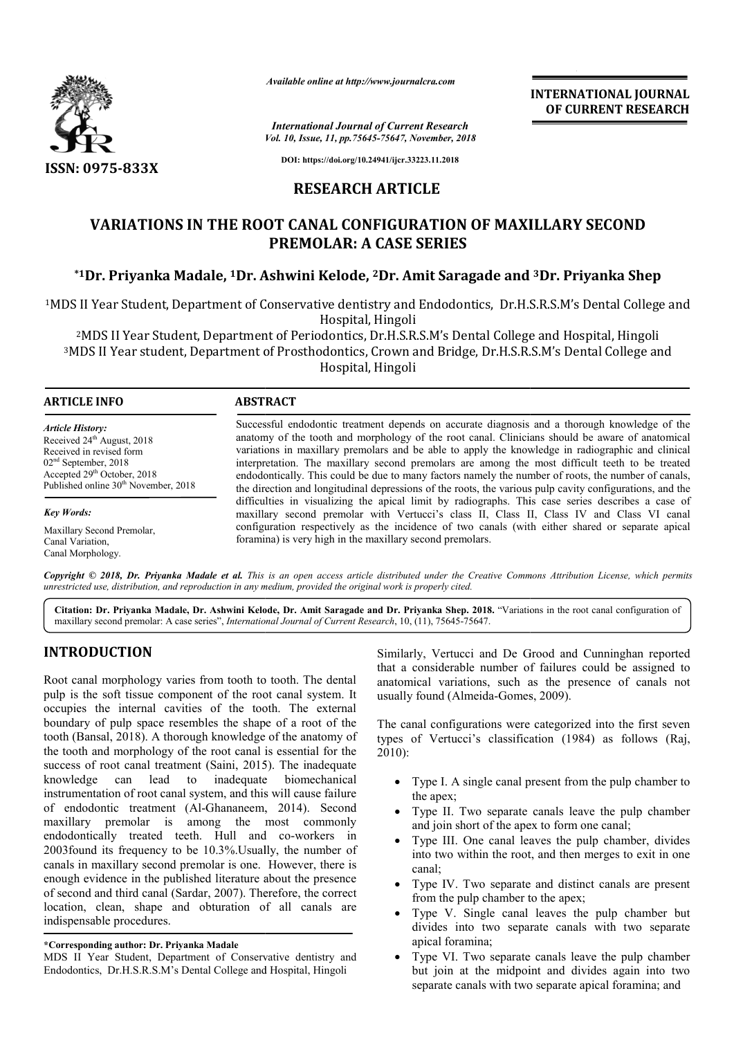

*Available online at http://www.journalcra.com*

*Vol. 10, Issue, 11, pp.75645-75647, November, 2018 International Journal of Current Research*

**INTERNATIONAL JOURNAL OF CURRENT RESEARCH**

**DOI: https://doi.org/10.24941/ijcr.33223.11.2018**

## **RESEARCH ARTICLE**

# **VARIATIONS IN THE ROOT CANAL CONFIGURATION OF MAXILLARY SECOND PREMOLAR: A CASE SERIES**

## **\*1Dr. Priyanka Madale, 1Dr. Ashwini Dr. Kelode, 2Dr. Amit Saragade and 3Dr. Priyanka Shep**

1MDS II Year Student, Department of Conservative dentistry and Endodontics, Dr.H.S.R.S.M's Dental College and MDS Hospital, Hingoli Student, Department of Conservative dentistry and Endodontics, Dr.H.S.R.S.M's Dental College and<br>Hospital, Hingoli<br>Year Student, Department of Periodontics, Dr.H.S.R.S.M's Dental College and Hospital, Hingoli<br>Par student,

<sup>2</sup>MDS II Year Student, Department of Periodontics, Dr.H.S.R.S.M's Dental College and Hospital, Hingoli 3MDS II Year student, Department of Prosthodontics, Crown and Bridge, Dr.H.S.R.S.M's Dental College and MDS Hospital, Hingoli

#### **ABSTRACT**

*Article History:* Received 24<sup>th</sup> August, 2018 Received in revised form 02nd September, 2018 Accepted 29<sup>th</sup> October, 2018 Published online 30<sup>th</sup> November, 2018

Maxillary Second Premolar, Canal Variation, Canal Morphology.

*Key Words:*

Successful endodontic treatment depends on accurate diagnosis and a thorough knowledge of the anatomy of the tooth and morphology of the root canal. Clinicians should be aware of anatomical variations in maxillary premolars and be able to apply the knowledge in radiographic and clinical interpretation. The maxillary second premolars are among the most difficult teeth to be treated endodontically. This could be due to many factors namely the number of roots, the number of canals, Successful endodontic treatment depends on accurate diagnosis and a thorough knowledge of the anatomy of the tooth and morphology of the root canal. Clinicians should be aware of anatomical variations in maxillary premolar difficulties in visualizing the apical limit by radiographs. This case series describes a case of maxillary second premolar with Vertucci's class II, Class II, Class IV and Class VI canal configuration respectively as the incidence of two canals (with either shared or separate apical foramina) is very high in the maxillary second premolars. difficulties in visualizing the apical limit by radiographs. This case series describes a case of maxillary second premolar with Vertucci's class II, Class II, Class IV and Class VI canal configuration respectively as the

Copyright © 2018, Dr. Priyanka Madale et al. This is an open access article distributed under the Creative Commons Attribution License, which permits *unrestricted use, distribution, and reproduction in any medium, provided the original work is properly cited.*

Citation: Dr. Priyanka Madale, Dr. Ashwini Kelode, Dr. Amit Saragade and Dr. Priyanka Shep. 2018. "Variations in the root canal configuration of maxillary second premolar: A case series", *International Journal of Current Research*, 10, (11), 75645-75647.

## **INTRODUCTION**

Root canal morphology varies from tooth to tooth. The dental pulp is the soft tissue component of the root canal system. It occupies the internal cavities of the tooth. The external boundary of pulp space resembles the shape of a root of the tooth (Bansal, 2018). A thorough knowledge of the anatomy of the tooth and morphology of the root canal is essential for the success of root canal treatment (Saini, 2015). The inadequate knowledge can lead to inadequate biomechanical instrumentation of root canal system, and this will cause failure of endodontic treatment (Al-Ghananeem, 2014 , 2014). Second maxillary premolar is among the most commonly endodontically treated teeth. Hull and co-workers in 2003found its frequency to be 10.3%.Usually, the number of canals in maxillary second premolar is one. However, there is enough evidence in the published literature about the presence of second and third canal (Sardar, 2007). Therefore, the correct location, clean, shape and obturation of all canals are indispensable procedures. **CEON**<br>
Similarly, Vertucci and De Grood and Cunninghan reported<br>
that a considerable number of failung conditions<br>
internal cavities of the toot canal system. It<br>
internal cavities of the toot cand system. It<br>
usually fo

#### **\*Corresponding author: Dr. Priyanka Madale**

MDS II Year Student, Department of Conservative dentistry and Endodontics, Dr.H.S.R.S.M's Dental College and Hospital, Hingoli

that a considerable number of failures could be assigned to anatomical variations, such as the presence of canals not usually found (Almeida-Gomes, 2009). larly, Vertucci and De Grood and Cunninghan reported<br>a considerable number of failures could be assigned to<br>omical variations, such as the presence of canals not<br>lly found (Almeida-Gomes, 2009).

The canal configurations were categorized into the first seven The canal configurations were categorized into the first seven<br>types of Vertucci's classification (1984) as follows (Raj, 2010):

- Type I. A single canal present from the pulp chamber to the apex;
- Type II. Two separate canals leave the pulp chamber and join short of the apex to form one canal;
- Type III. One canal leaves the pulp chamber, divides into two within the root, and then merges to exit in one canal; separate canals leave the pulp chamber<br>of the apex to form one canal;<br>canal leaves the pulp chamber, divides<br>the root, and then merges to exit in one<br>separate and distinct canals are present
- Type IV. Two separate and distinct canals are present from the pulp chamber to the apex;
- Type V. Single canal leaves the pulp chamber but divides into two separate canals with two separate apical foramina; Single canal leaves the pulp chamber but<br>to two separate canals with two separate<br>mina;<br>Two separate canals leave the pulp chamber<br>at the midpoint and divides again into two
- Type VI. Two separate canals leave the pulp chamber but join at the midpoint and divides again into two separate canals with two separate apical foramina; and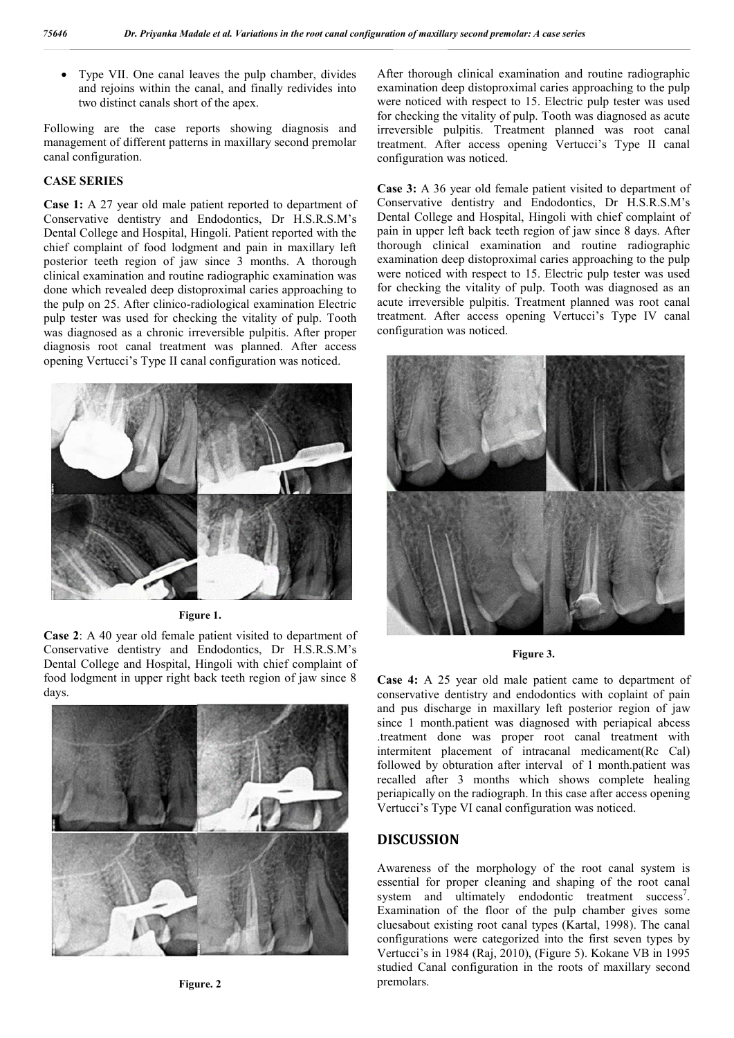Type VII. One canal leaves the pulp chamber, divides and rejoins within the canal, and finally redivides into two distinct canals short of the apex.

Following are the case reports showing diagnosis and management of different patterns in maxillary second premolar canal configuration.

### **CASE SERIES**

**Case 1:** A 27 year old male patient reported to department of Conservative dentistry and Endodontics, Dr H.S.R.S.M's Dental College and Hospital, Hingoli. Patient reported with the chief complaint of food lodgment and pain in maxillary left posterior teeth region of jaw since 3 months. A thorough clinical examination and routine radiographic examination was done which revealed deep distoproximal caries approaching to the pulp on 25. After clinico-radiological examination Electric pulp tester was used for checking the vitality of pulp. Tooth was diagnosed as a chronic irreversible pulpitis. After proper diagnosis root canal treatment was planned. After access opening Vertucci's Type II canal configuration was noticed.



**Figure 1.**

**Case 2**: A 40 year old female patient visited to department of Conservative dentistry and Endodontics, Dr H.S.R.S.M's Dental College and Hospital, Hingoli with chief complaint of food lodgment in upper right back teeth region of jaw since 8 days.



**Figure. 2**

After thorough clinical examination and routine radiographic examination deep distoproximal caries approaching to the pulp were noticed with respect to 15. Electric pulp tester was used for checking the vitality of pulp. Tooth was diagnosed as acute irreversible pulpitis. Treatment planned was root canal treatment. After access opening Vertucci's Type II canal configuration was noticed.

**Case 3:** A 36 year old female patient visited to department of Conservative dentistry and Endodontics, Dr H.S.R.S.M's Dental College and Hospital, Hingoli with chief complaint of pain in upper left back teeth region of jaw since 8 days. After thorough clinical examination and routine radiographic examination deep distoproximal caries approaching to the pulp were noticed with respect to 15. Electric pulp tester was used for checking the vitality of pulp. Tooth was diagnosed as an acute irreversible pulpitis. Treatment planned was root canal treatment. After access opening Vertucci's Type IV canal configuration was noticed.



**Figure 3.**

**Case 4:** A 25 year old male patient came to department of conservative dentistry and endodontics with coplaint of pain and pus discharge in maxillary left posterior region of jaw since 1 month.patient was diagnosed with periapical abcess .treatment done was proper root canal treatment with intermitent placement of intracanal medicament(Rc Cal) followed by obturation after interval of 1 month.patient was recalled after 3 months which shows complete healing periapically on the radiograph. In this case after access opening Vertucci's Type VI canal configuration was noticed.

### **DISCUSSION**

Awareness of the morphology of the root canal system is essential for proper cleaning and shaping of the root canal system and ultimately endodontic treatment success<sup>7</sup>. Examination of the floor of the pulp chamber gives some cluesabout existing root canal types (Kartal, 1998). The canal configurations were categorized into the first seven types by Vertucci's in 1984 (Raj, 2010), (Figure 5). Kokane VB in 1995 studied Canal configuration in the roots of maxillary second premolars.